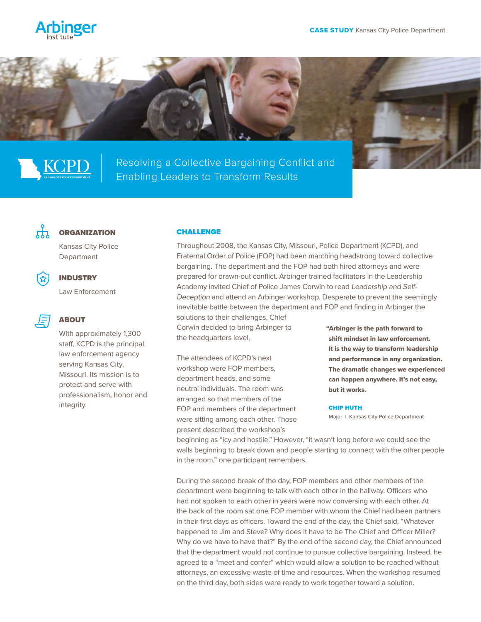





Resolving a Collective Bargaining Conflict and Enabling Leaders to Transform Results



## **ORGANIZATION**

Kansas City Police Department



## INDUSTRY

Law Enforcement



# ABOUT

With approximately 1,300 staff, KCPD is the principal law enforcement agency serving Kansas City, Missouri. Its mission is to protect and serve with professionalism, honor and integrity.

## CHALLENGE

Throughout 2008, the Kansas City, Missouri, Police Department (KCPD), and Fraternal Order of Police (FOP) had been marching headstrong toward collective bargaining. The department and the FOP had both hired attorneys and were prepared for drawn-out conflict. Arbinger trained facilitators in the Leadership Academy invited Chief of Police James Corwin to read Leadership and Self-Deception and attend an Arbinger workshop. Desperate to prevent the seemingly inevitable battle between the department and FOP and finding in Arbinger the solutions to their challenges, Chief Corwin decided to bring Arbinger to "Arbinger is the path forward to

The attendees of KCPD's next workshop were FOP members, department heads, and some neutral individuals. The room was arranged so that members of the FOP and members of the department were sitting among each other. Those present described the workshop's

the headquarters level.

shift mindset in law enforcement. It is the way to transform leadership and performance in any organization. The dramatic changes we experienced can happen anywhere. It's not easy, but it works.

### CHIP HUTH

Major | Kansas City Police Department

beginning as "icy and hostile." However, "it wasn't long before we could see the walls beginning to break down and people starting to connect with the other people in the room," one participant remembers.

During the second break of the day, FOP members and other members of the department were beginning to talk with each other in the hallway. Officers who had not spoken to each other in years were now conversing with each other. At the back of the room sat one FOP member with whom the Chief had been partners in their first days as officers. Toward the end of the day, the Chief said, "Whatever happened to Jim and Steve? Why does it have to be The Chief and Officer Miller? Why do we have to have that?" By the end of the second day, the Chief announced that the department would not continue to pursue collective bargaining. Instead, he agreed to a "meet and confer" which would allow a solution to be reached without attorneys, an excessive waste of time and resources. When the workshop resumed on the third day, both sides were ready to work together toward a solution.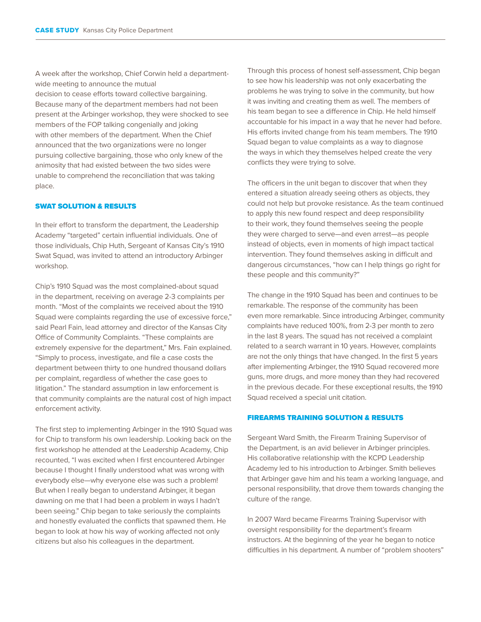A week after the workshop, Chief Corwin held a departmentwide meeting to announce the mutual

decision to cease efforts toward collective bargaining. Because many of the department members had not been present at the Arbinger workshop, they were shocked to see members of the FOP talking congenially and joking with other members of the department. When the Chief announced that the two organizations were no longer pursuing collective bargaining, those who only knew of the animosity that had existed between the two sides were unable to comprehend the reconciliation that was taking place.

### SWAT SOLUTION & RESULTS

In their effort to transform the department, the Leadership Academy "targeted" certain influential individuals. One of those individuals, Chip Huth, Sergeant of Kansas City's 1910 Swat Squad, was invited to attend an introductory Arbinger workshop.

Chip's 1910 Squad was the most complained-about squad in the department, receiving on average 2-3 complaints per month. "Most of the complaints we received about the 1910 Squad were complaints regarding the use of excessive force," said Pearl Fain, lead attorney and director of the Kansas City Office of Community Complaints. "These complaints are extremely expensive for the department," Mrs. Fain explained. "Simply to process, investigate, and file a case costs the department between thirty to one hundred thousand dollars per complaint, regardless of whether the case goes to litigation." The standard assumption in law enforcement is that community complaints are the natural cost of high impact enforcement activity.

The first step to implementing Arbinger in the 1910 Squad was for Chip to transform his own leadership. Looking back on the first workshop he attended at the Leadership Academy, Chip recounted, "I was excited when I first encountered Arbinger because I thought I finally understood what was wrong with everybody else—why everyone else was such a problem! But when I really began to understand Arbinger, it began dawning on me that I had been a problem in ways I hadn't been seeing." Chip began to take seriously the complaints and honestly evaluated the conflicts that spawned them. He began to look at how his way of working affected not only citizens but also his colleagues in the department.

Through this process of honest self-assessment, Chip began to see how his leadership was not only exacerbating the problems he was trying to solve in the community, but how it was inviting and creating them as well. The members of his team began to see a difference in Chip. He held himself accountable for his impact in a way that he never had before. His efforts invited change from his team members. The 1910 Squad began to value complaints as a way to diagnose the ways in which they themselves helped create the very conflicts they were trying to solve.

The officers in the unit began to discover that when they entered a situation already seeing others as objects, they could not help but provoke resistance. As the team continued to apply this new found respect and deep responsibility to their work, they found themselves seeing the people they were charged to serve—and even arrest—as people instead of objects, even in moments of high impact tactical intervention. They found themselves asking in difficult and dangerous circumstances, "how can I help things go right for these people and this community?"

The change in the 1910 Squad has been and continues to be remarkable. The response of the community has been even more remarkable. Since introducing Arbinger, community complaints have reduced 100%, from 2-3 per month to zero in the last 8 years. The squad has not received a complaint related to a search warrant in 10 years. However, complaints are not the only things that have changed. In the first 5 years after implementing Arbinger, the 1910 Squad recovered more guns, more drugs, and more money than they had recovered in the previous decade. For these exceptional results, the 1910 Squad received a special unit citation.

### FIREARMS TRAINING SOLUTION & RESULTS

Sergeant Ward Smith, the Firearm Training Supervisor of the Department, is an avid believer in Arbinger principles. His collaborative relationship with the KCPD Leadership Academy led to his introduction to Arbinger. Smith believes that Arbinger gave him and his team a working language, and personal responsibility, that drove them towards changing the culture of the range.

In 2007 Ward became Firearms Training Supervisor with oversight responsibility for the department's firearm instructors. At the beginning of the year he began to notice difficulties in his department. A number of "problem shooters"